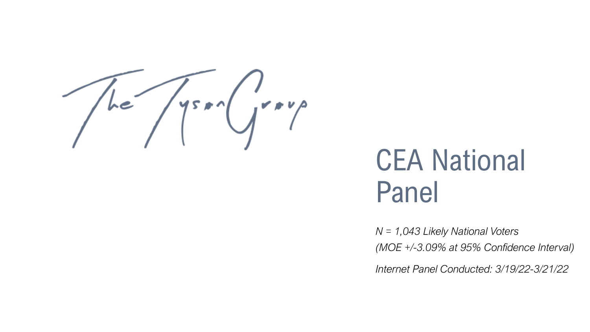

# CEA National Panel

*N = 1,043 Likely National Voters (MOE +/-3.09% at 95% Confidence Interval)*

*Internet Panel Conducted: 3/19/22-3/21/22*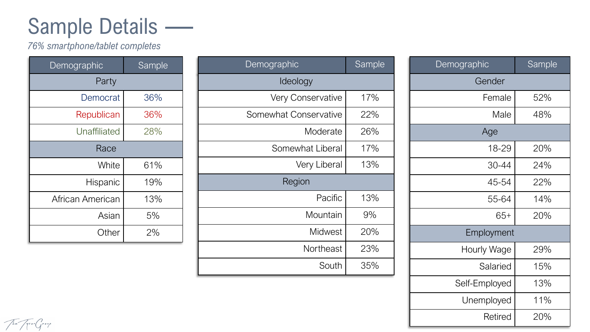### Sample Details —

*76% smartphone/tablet completes*

| Demographic      | <b>Sample</b> |
|------------------|---------------|
| Party            |               |
| Democrat         | 36%           |
| Republican       | 36%           |
| Unaffiliated     | 28%           |
| Race             |               |
| White            | 61%           |
| Hispanic         | 19%           |
| African American | 13%           |
| Asian            | 5%            |
| Other            | 2%            |

| Demographic           | Sample |
|-----------------------|--------|
| Ideology              |        |
| Very Conservative     | 17%    |
| Somewhat Conservative | 22%    |
| Moderate              | 26%    |
| Somewhat Liberal      | 17%    |
| Very Liberal          | 13%    |
| Region                |        |
| Pacific               | 13%    |
| Mountain              | 9%     |
| Midwest               | 20%    |
| Northeast             | 23%    |
| South                 | 35%    |

| Demographic   | <b>Sample</b> |
|---------------|---------------|
| Gender        |               |
| Female        | 52%           |
| Male          | 48%           |
| Age           |               |
| 18-29         | 20%           |
| 30-44         | 24%           |
| 45-54         | 22%           |
| 55-64         | 14%           |
| $65+$         | 20%           |
| Employment    |               |
| Hourly Wage   | 29%           |
| Salaried      | 15%           |
| Self-Employed | 13%           |
| Unemployed    | 11%           |
| Retired       | 20%           |

The Trengery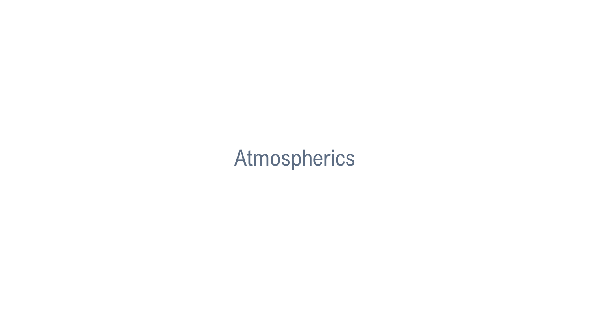### Atmospherics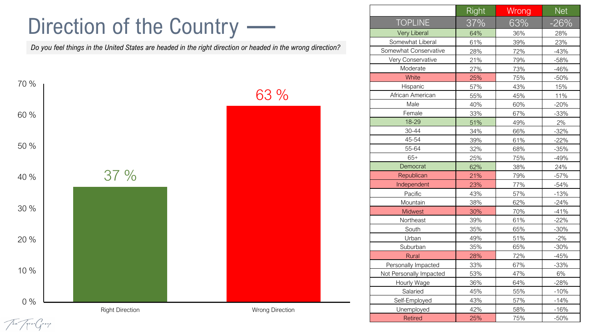### Direction of the Country -

*Do you feel things in the United States are headed in the right direction or headed in the wrong direction?*



|                         | <b>Right</b> | Wrong | <b>Net</b> |
|-------------------------|--------------|-------|------------|
| <b>TOPLINE</b>          | 37%          | 63%   | $-26%$     |
| <b>Very Liberal</b>     | 64%          | 36%   | 28%        |
| Somewhat Liberal        | 61%          | 39%   | 23%        |
| Somewhat Conservative   | 28%          | 72%   | $-43%$     |
| Very Conservative       | 21%          | 79%   | $-58%$     |
| Moderate                | 27%          | 73%   | $-46%$     |
| White                   | 25%          | 75%   | $-50%$     |
| Hispanic                | 57%          | 43%   | 15%        |
| African American        | 55%          | 45%   | 11%        |
| Male                    | 40%          | 60%   | $-20%$     |
| Female                  | 33%          | 67%   | $-33%$     |
| 18-29                   | 51%          | 49%   | 2%         |
| 30-44                   | 34%          | 66%   | $-32%$     |
| 45-54                   | 39%          | 61%   | $-22%$     |
| 55-64                   | 32%          | 68%   | $-35%$     |
| $65+$                   | 25%          | 75%   | $-49%$     |
| Democrat                | 62%          | 38%   | 24%        |
| Republican              | 21%          | 79%   | $-57%$     |
| Independent             | 23%          | 77%   | $-54%$     |
| Pacific                 | 43%          | 57%   | $-13%$     |
| Mountain                | 38%          | 62%   | $-24%$     |
| <b>Midwest</b>          | 30%          | 70%   | $-41%$     |
| Northeast               | 39%          | 61%   | $-22%$     |
| South                   | 35%          | 65%   | $-30%$     |
| Urban                   | 49%          | 51%   | $-2%$      |
| Suburban                | 35%          | 65%   | $-30%$     |
| <b>Rural</b>            | 28%          | 72%   | $-45%$     |
| Personally Impacted     | 33%          | 67%   | $-33%$     |
| Not Personally Impacted | 53%          | 47%   | 6%         |
| Hourly Wage             | 36%          | 64%   | $-28%$     |
| Salaried                | 45%          | 55%   | $-10%$     |
| Self-Employed           | 43%          | 57%   | $-14%$     |
| Unemployed              | 42%          | 58%   | $-16%$     |
| <b>Retired</b>          | 25%          | 75%   | $-50%$     |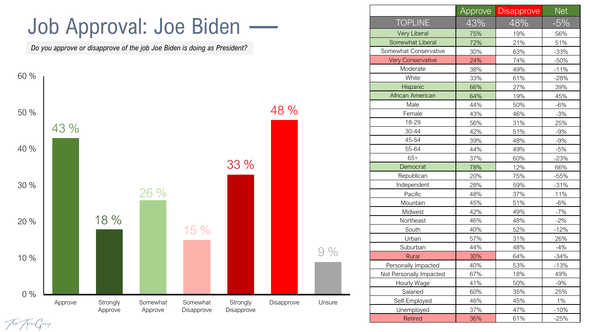### Job Approval: Joe Biden

*Do you approve or disapprove of the job Joe Biden is doing as President?*



|                          | Approve | <b>Disapprove</b> | <b>Net</b> |
|--------------------------|---------|-------------------|------------|
| <b>TOPLINE</b>           | 43%     | 48%               | $-5%$      |
| <b>Very Liberal</b>      | 75%     | 19%               | 56%        |
| Somewhat Liberal         | 72%     | 21%               | 51%        |
| Somewhat Conservative    | 30%     | 63%               | $-33%$     |
| <b>Very Conservative</b> | 24%     | 74%               | $-50%$     |
| Moderate                 | 38%     | 49%               | $-11%$     |
| White                    | 33%     | 61%               | $-28%$     |
| Hispanic                 | 66%     | 27%               | 39%        |
| <b>African American</b>  | 64%     | 19%               | 45%        |
| Male                     | 44%     | 50%               | $-6%$      |
| Female                   | 43%     | 46%               | $-3%$      |
| 18-29                    | 56%     | 31%               | 25%        |
| 30-44                    | 42%     | 51%               | $-9%$      |
| 45-54                    | 39%     | 48%               | $-9%$      |
| 55-64                    | 44%     | 49%               | $-5%$      |
| $65+$                    | 37%     | 60%               | $-23%$     |
| Democrat                 | 78%     | 12%               | 66%        |
| Republican               | 20%     | 75%               | $-55%$     |
| Independent              | 28%     | 59%               | $-31%$     |
| Pacific                  | 48%     | 37%               | 11%        |
| Mountain                 | 45%     | 51%               | $-6%$      |
| Midwest                  | 42%     | 49%               | $-7%$      |
| Northeast                | 46%     | 48%               | $-2%$      |
| South                    | 40%     | 52%               | $-12%$     |
| Urban                    | 57%     | 31%               | 26%        |
| Suburban                 | 44%     | 48%               | $-4%$      |
| Rural                    | 30%     | 64%               | $-34%$     |
| Personally Impacted      | 40%     | 53%               | $-13%$     |
| Not Personally Impacted  | 67%     | 18%               | 49%        |
| Hourly Wage              | 41%     | 50%               | $-9%$      |
| Salaried                 | 60%     | 35%               | 25%        |
| Self-Employed            | 46%     | 45%               | $1\%$      |
| Unemployed               | 37%     | 47%               | $-10%$     |
| <b>Retired</b>           | 36%     | 61%               | $-25%$     |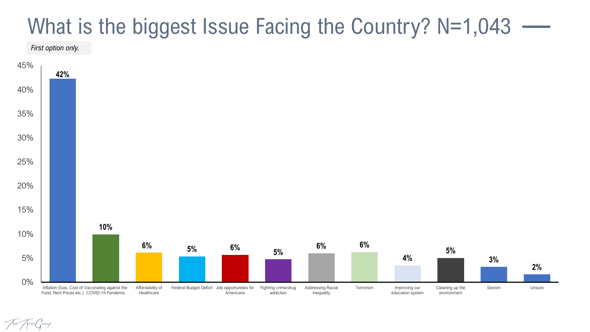### What is the biggest Issue Facing the Country? N=1,043 -

*First option only.*

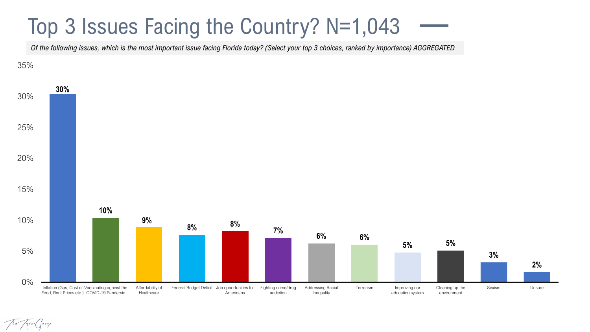### Top 3 Issues Facing the Country? N=1,043

*Of the following issues, which is the most important issue facing Florida today? (Select your top 3 choices, ranked by importance) AGGREGATED*

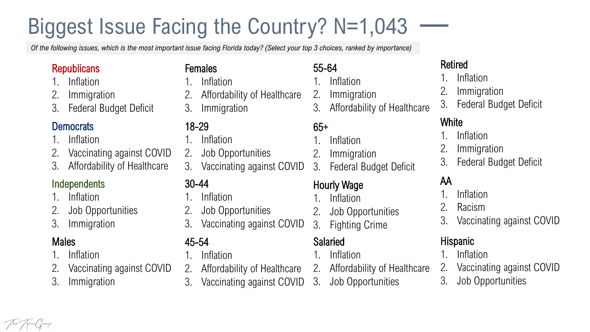## Biggest Issue Facing the Country? N=1,043

*Of the following issues, which is the most important issue facing Florida today? (Select your top 3 choices, ranked by importance)*

#### **Republicans**

- **Inflation**
- 2. Immigration
- 3. Federal Budget Deficit

#### **Democrats**

- 1. Inflation
- 2. Vaccinating against COVID
- 3. Affordability of Healthcare

#### **Independents**

- 1. Inflation
- 2. Job Opportunities
- 3. Immigration

#### **Males**

- **Inflation**
- 2. Vaccinating against COVID
- 3. Immigration

#### Females

- 1. Inflation
- 2. Affordability of Healthcare
- 3. Immigration

#### 18-29

- 1. Inflation
- 2. Job Opportunities
- 3. Vaccinating against COVID

#### 30-44

- 1. Inflation
- 2. Job Opportunities
- 3. Vaccinating against COVID

#### 45-54

- 1. Inflation
- 2. Affordability of Healthcare
- 3. Vaccinating against COVID

#### 55-64

- 1. Inflation
- $2.$ **Immigration**
- 3. Affordability of Healthcare

#### 65+

- 1. Inflation
- 2. Immigration
- 3. Federal Budget Deficit

#### Hourly Wage

- 1. Inflation
- 2. Job Opportunities
- 3. Fighting Crime

#### Salaried

- 1. Inflation
- 2. Affordability of Healthcare
- 3. Job Opportunities

#### Retired

- 1. Inflation
- **Immigration**
- 3. Federal Budget Deficit

#### White

- 1. Inflation
- **Immigration**
- 3. Federal Budget Deficit

#### AA

- 1. Inflation
- **Racism**
- 3. Vaccinating against COVID

#### Hispanic

- 1. Inflation
- 2. Vaccinating against COVID
- 3. Job Opportunities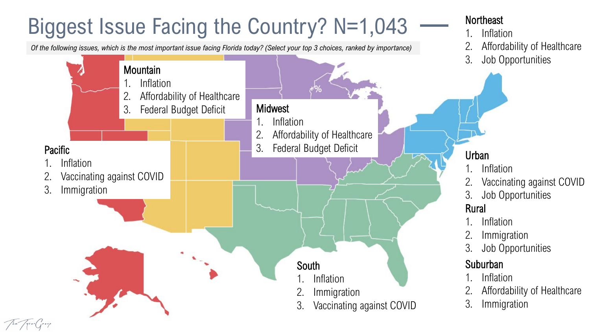### Biggest Issue Facing the Country? N=1,043

*Of the following issues, which is the most important issue facing Florida today? (Select your top 3 choices, ranked by importance)*

The Tyon Group



**Northeast** 

1. Inflation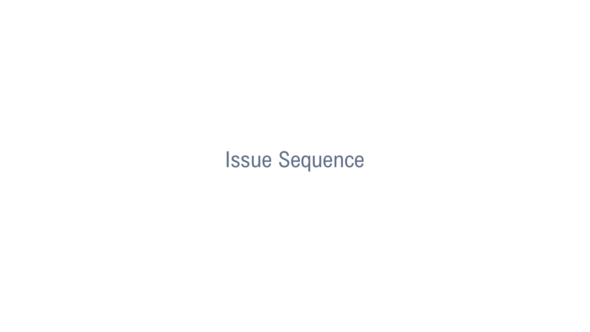### Issue Sequence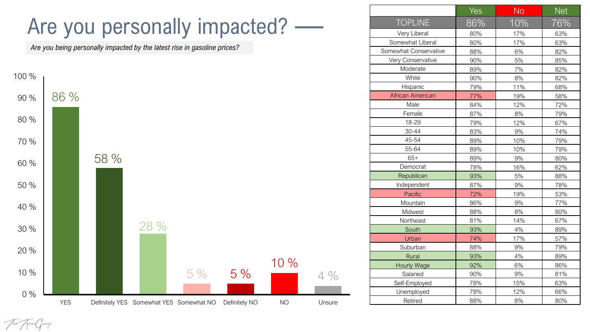### Are you personally impacted?

*Are you being personally impacted by the latest rise in gasoline prices?*

The Trenden



|                         | Yes | <b>No</b> | <b>Net</b> |
|-------------------------|-----|-----------|------------|
| <b>TOPLINE</b>          | 86% | 10%       | 76%        |
| Very Liberal            | 80% | 17%       | 63%        |
| Somewhat Liberal        | 80% | 17%       | 63%        |
| Somewhat Conservative   | 88% | 6%        | 82%        |
| Very Conservative       | 90% | 5%        | 85%        |
| Moderate                | 89% | 7%        | 82%        |
| White                   | 90% | 8%        | 82%        |
| Hispanic                | 79% | 11%       | 68%        |
| <b>African American</b> | 77% | 19%       | 58%        |
| Male                    | 84% | 12%       | 72%        |
| Female                  | 87% | 8%        | 79%        |
| 18-29                   | 79% | 12%       | 67%        |
| 30-44                   | 83% | 9%        | 74%        |
| 45-54                   | 89% | 10%       | 79%        |
| 55-64                   | 89% | 10%       | 79%        |
| $65+$                   | 89% | 9%        | 80%        |
| Democrat                | 78% | 16%       | 62%        |
| Republican              | 93% | 5%        | 88%        |
| Independent             | 87% | 9%        | 78%        |
| Pacific                 | 72% | 19%       | 53%        |
| Mountain                | 86% | 9%        | 77%        |
| Midwest                 | 88% | 8%        | 80%        |
| Northeast               | 81% | 14%       | 67%        |
| South                   | 93% | 4%        | 89%        |
| Urban                   | 74% | 17%       | 57%        |
| Suburban                | 88% | 9%        | 79%        |
| Rural                   | 93% | 4%        | 89%        |
| Hourly Wage             | 92% | 6%        | 86%        |
| Salaried                | 90% | 9%        | 81%        |
| Self-Employed           | 78% | 15%       | 63%        |
| Unemployed              | 78% | 12%       | 66%        |
| Retired                 | 88% | 8%        | 80%        |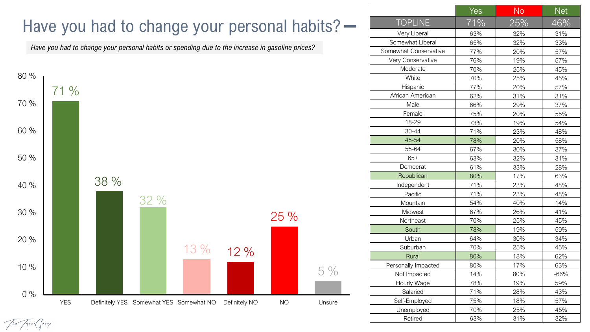### Have you had to change your personal habits? -

*Have you had to change your personal habits or spending due to the increase in gasoline prices?*



|                       | Yes | <b>No</b> | <b>Net</b> |
|-----------------------|-----|-----------|------------|
| <b>TOPLINE</b>        | 71% | 25%       | 46%        |
| Very Liberal          | 63% | 32%       | 31%        |
| Somewhat Liberal      | 65% | 32%       | 33%        |
| Somewhat Conservative | 77% | 20%       | 57%        |
| Very Conservative     | 76% | 19%       | 57%        |
| Moderate              | 70% | 25%       | 45%        |
| White                 | 70% | 25%       | 45%        |
| Hispanic              | 77% | 20%       | 57%        |
| African American      | 62% | 31%       | 31%        |
| Male                  | 66% | 29%       | 37%        |
| Female                | 75% | 20%       | 55%        |
| 18-29                 | 73% | 19%       | 54%        |
| 30-44                 | 71% | 23%       | 48%        |
| 45-54                 | 78% | 20%       | 58%        |
| 55-64                 | 67% | 30%       | 37%        |
| $65+$                 | 63% | 32%       | 31%        |
| Democrat              | 61% | 33%       | 28%        |
| Republican            | 80% | 17%       | 63%        |
| Independent           | 71% | 23%       | 48%        |
| Pacific               | 71% | 23%       | 48%        |
| Mountain              | 54% | 40%       | 14%        |
| Midwest               | 67% | 26%       | 41%        |
| Northeast             | 70% | 25%       | 45%        |
| South                 | 78% | 19%       | 59%        |
| Urban                 | 64% | 30%       | 34%        |
| Suburban              | 70% | 25%       | 45%        |
| Rural                 | 80% | 18%       | 62%        |
| Personally Impacted   | 80% | 17%       | 63%        |
| Not Impacted          | 14% | 80%       | $-66%$     |
| Hourly Wage           | 78% | 19%       | 59%        |
| Salaried              | 71% | 28%       | 43%        |
| Self-Employed         | 75% | 18%       | 57%        |
| Unemployed            | 70% | 25%       | 45%        |
| Retired               | 63% | 31%       | 32%        |

The Trengery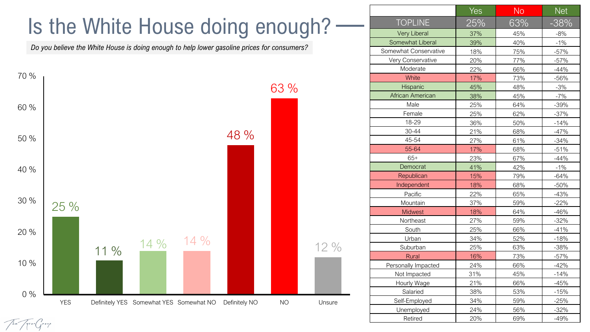### Is the White House doing enough?

*Do you believe the White House is doing enough to help lower gasoline prices for consumers?*



| <b>TOPLINE</b><br>63%<br>25%<br>$-38%$<br><b>Very Liberal</b><br>37%<br>45%<br>$-8%$<br>Somewhat Liberal<br>39%<br>40%<br>$-1%$<br>Somewhat Conservative<br>75%<br>18%<br>$-57%$<br>Very Conservative<br>77%<br>20%<br>$-57%$<br>Moderate<br>22%<br>66%<br>$-44%$<br>White<br>73%<br>17%<br>$-56%$<br>Hispanic<br>45%<br>48%<br>$-3%$<br>African American<br>38%<br>45%<br>$-7%$<br>Male<br>64%<br>25%<br>$-39%$<br>Female<br>62%<br>25%<br>$-37%$<br>18-29<br>36%<br>50%<br>$-14%$<br>30-44<br>21%<br>68%<br>$-47%$<br>45-54<br>27%<br>61%<br>$-34%$<br>55-64<br>17%<br>68%<br>$-51%$<br>$65+$<br>$-44%$<br>23%<br>67%<br>42%<br>Democrat<br>41%<br>$-1%$<br>Republican<br>15%<br>79%<br>$-64%$<br>Independent<br>18%<br>68%<br>$-50%$<br>22%<br>65%<br>$-43%$<br>Pacific<br>37%<br>$-22%$<br>Mountain<br>59%<br>18%<br>64%<br>$-46%$<br><b>Midwest</b><br>27%<br>59%<br>$-32%$<br>Northeast<br>25%<br>South<br>66%<br>$-41%$<br>34%<br>52%<br>$-18%$<br>Urban<br>25%<br>63%<br>$-38%$<br>Suburban<br>73%<br>16%<br>$-57%$<br>Rural<br>24%<br>66%<br>$-42%$<br>Personally Impacted<br>31%<br>45%<br>$-14%$<br>Not Impacted<br>21%<br>66%<br>$-45%$<br>Hourly Wage<br>38%<br>53%<br>$-15%$<br>Salaried<br>34%<br>59%<br>$-25%$<br>Self-Employed<br>24%<br>56%<br>$-32%$<br>Unemployed<br>20%<br>$-49%$<br>Retired<br>69% | Yes | <b>No</b> | Net |
|--------------------------------------------------------------------------------------------------------------------------------------------------------------------------------------------------------------------------------------------------------------------------------------------------------------------------------------------------------------------------------------------------------------------------------------------------------------------------------------------------------------------------------------------------------------------------------------------------------------------------------------------------------------------------------------------------------------------------------------------------------------------------------------------------------------------------------------------------------------------------------------------------------------------------------------------------------------------------------------------------------------------------------------------------------------------------------------------------------------------------------------------------------------------------------------------------------------------------------------------------------------------------------------------------------------------------|-----|-----------|-----|
|                                                                                                                                                                                                                                                                                                                                                                                                                                                                                                                                                                                                                                                                                                                                                                                                                                                                                                                                                                                                                                                                                                                                                                                                                                                                                                                          |     |           |     |
|                                                                                                                                                                                                                                                                                                                                                                                                                                                                                                                                                                                                                                                                                                                                                                                                                                                                                                                                                                                                                                                                                                                                                                                                                                                                                                                          |     |           |     |
|                                                                                                                                                                                                                                                                                                                                                                                                                                                                                                                                                                                                                                                                                                                                                                                                                                                                                                                                                                                                                                                                                                                                                                                                                                                                                                                          |     |           |     |
|                                                                                                                                                                                                                                                                                                                                                                                                                                                                                                                                                                                                                                                                                                                                                                                                                                                                                                                                                                                                                                                                                                                                                                                                                                                                                                                          |     |           |     |
|                                                                                                                                                                                                                                                                                                                                                                                                                                                                                                                                                                                                                                                                                                                                                                                                                                                                                                                                                                                                                                                                                                                                                                                                                                                                                                                          |     |           |     |
|                                                                                                                                                                                                                                                                                                                                                                                                                                                                                                                                                                                                                                                                                                                                                                                                                                                                                                                                                                                                                                                                                                                                                                                                                                                                                                                          |     |           |     |
|                                                                                                                                                                                                                                                                                                                                                                                                                                                                                                                                                                                                                                                                                                                                                                                                                                                                                                                                                                                                                                                                                                                                                                                                                                                                                                                          |     |           |     |
|                                                                                                                                                                                                                                                                                                                                                                                                                                                                                                                                                                                                                                                                                                                                                                                                                                                                                                                                                                                                                                                                                                                                                                                                                                                                                                                          |     |           |     |
|                                                                                                                                                                                                                                                                                                                                                                                                                                                                                                                                                                                                                                                                                                                                                                                                                                                                                                                                                                                                                                                                                                                                                                                                                                                                                                                          |     |           |     |
|                                                                                                                                                                                                                                                                                                                                                                                                                                                                                                                                                                                                                                                                                                                                                                                                                                                                                                                                                                                                                                                                                                                                                                                                                                                                                                                          |     |           |     |
|                                                                                                                                                                                                                                                                                                                                                                                                                                                                                                                                                                                                                                                                                                                                                                                                                                                                                                                                                                                                                                                                                                                                                                                                                                                                                                                          |     |           |     |
|                                                                                                                                                                                                                                                                                                                                                                                                                                                                                                                                                                                                                                                                                                                                                                                                                                                                                                                                                                                                                                                                                                                                                                                                                                                                                                                          |     |           |     |
|                                                                                                                                                                                                                                                                                                                                                                                                                                                                                                                                                                                                                                                                                                                                                                                                                                                                                                                                                                                                                                                                                                                                                                                                                                                                                                                          |     |           |     |
|                                                                                                                                                                                                                                                                                                                                                                                                                                                                                                                                                                                                                                                                                                                                                                                                                                                                                                                                                                                                                                                                                                                                                                                                                                                                                                                          |     |           |     |
|                                                                                                                                                                                                                                                                                                                                                                                                                                                                                                                                                                                                                                                                                                                                                                                                                                                                                                                                                                                                                                                                                                                                                                                                                                                                                                                          |     |           |     |
|                                                                                                                                                                                                                                                                                                                                                                                                                                                                                                                                                                                                                                                                                                                                                                                                                                                                                                                                                                                                                                                                                                                                                                                                                                                                                                                          |     |           |     |
|                                                                                                                                                                                                                                                                                                                                                                                                                                                                                                                                                                                                                                                                                                                                                                                                                                                                                                                                                                                                                                                                                                                                                                                                                                                                                                                          |     |           |     |
|                                                                                                                                                                                                                                                                                                                                                                                                                                                                                                                                                                                                                                                                                                                                                                                                                                                                                                                                                                                                                                                                                                                                                                                                                                                                                                                          |     |           |     |
|                                                                                                                                                                                                                                                                                                                                                                                                                                                                                                                                                                                                                                                                                                                                                                                                                                                                                                                                                                                                                                                                                                                                                                                                                                                                                                                          |     |           |     |
|                                                                                                                                                                                                                                                                                                                                                                                                                                                                                                                                                                                                                                                                                                                                                                                                                                                                                                                                                                                                                                                                                                                                                                                                                                                                                                                          |     |           |     |
|                                                                                                                                                                                                                                                                                                                                                                                                                                                                                                                                                                                                                                                                                                                                                                                                                                                                                                                                                                                                                                                                                                                                                                                                                                                                                                                          |     |           |     |
|                                                                                                                                                                                                                                                                                                                                                                                                                                                                                                                                                                                                                                                                                                                                                                                                                                                                                                                                                                                                                                                                                                                                                                                                                                                                                                                          |     |           |     |
|                                                                                                                                                                                                                                                                                                                                                                                                                                                                                                                                                                                                                                                                                                                                                                                                                                                                                                                                                                                                                                                                                                                                                                                                                                                                                                                          |     |           |     |
|                                                                                                                                                                                                                                                                                                                                                                                                                                                                                                                                                                                                                                                                                                                                                                                                                                                                                                                                                                                                                                                                                                                                                                                                                                                                                                                          |     |           |     |
|                                                                                                                                                                                                                                                                                                                                                                                                                                                                                                                                                                                                                                                                                                                                                                                                                                                                                                                                                                                                                                                                                                                                                                                                                                                                                                                          |     |           |     |
|                                                                                                                                                                                                                                                                                                                                                                                                                                                                                                                                                                                                                                                                                                                                                                                                                                                                                                                                                                                                                                                                                                                                                                                                                                                                                                                          |     |           |     |
|                                                                                                                                                                                                                                                                                                                                                                                                                                                                                                                                                                                                                                                                                                                                                                                                                                                                                                                                                                                                                                                                                                                                                                                                                                                                                                                          |     |           |     |
|                                                                                                                                                                                                                                                                                                                                                                                                                                                                                                                                                                                                                                                                                                                                                                                                                                                                                                                                                                                                                                                                                                                                                                                                                                                                                                                          |     |           |     |
|                                                                                                                                                                                                                                                                                                                                                                                                                                                                                                                                                                                                                                                                                                                                                                                                                                                                                                                                                                                                                                                                                                                                                                                                                                                                                                                          |     |           |     |
|                                                                                                                                                                                                                                                                                                                                                                                                                                                                                                                                                                                                                                                                                                                                                                                                                                                                                                                                                                                                                                                                                                                                                                                                                                                                                                                          |     |           |     |
|                                                                                                                                                                                                                                                                                                                                                                                                                                                                                                                                                                                                                                                                                                                                                                                                                                                                                                                                                                                                                                                                                                                                                                                                                                                                                                                          |     |           |     |
|                                                                                                                                                                                                                                                                                                                                                                                                                                                                                                                                                                                                                                                                                                                                                                                                                                                                                                                                                                                                                                                                                                                                                                                                                                                                                                                          |     |           |     |
|                                                                                                                                                                                                                                                                                                                                                                                                                                                                                                                                                                                                                                                                                                                                                                                                                                                                                                                                                                                                                                                                                                                                                                                                                                                                                                                          |     |           |     |
|                                                                                                                                                                                                                                                                                                                                                                                                                                                                                                                                                                                                                                                                                                                                                                                                                                                                                                                                                                                                                                                                                                                                                                                                                                                                                                                          |     |           |     |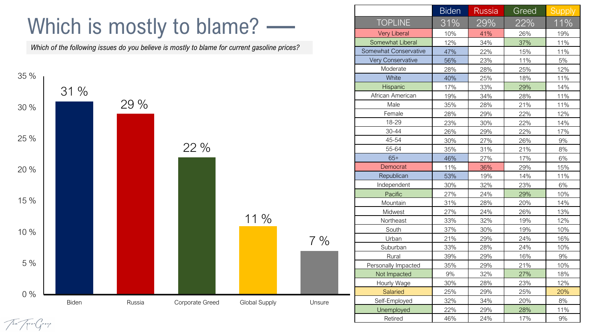### Which is mostly to blame? -

*Which of the following issues do you believe is mostly to blame for current gasoline prices?*



|                       | <b>Biden</b> | <b>Russia</b> | Greed | <b>Supply</b> |
|-----------------------|--------------|---------------|-------|---------------|
| <b>TOPLINE</b>        | 31%          | 29%           | 22%   | $11\%$        |
| <b>Very Liberal</b>   | 10%          | 41%           | 26%   | 19%           |
| Somewhat Liberal      | 12%          | 34%           | 37%   | 11%           |
| Somewhat Conservative | 47%          | 22%           | 15%   | 11%           |
| Very Conservative     | 56%          | 23%           | 11%   | 5%            |
| Moderate              | 28%          | 28%           | 25%   | 12%           |
| White                 | 40%          | 25%           | 18%   | 11%           |
| Hispanic              | 17%          | 33%           | 29%   | 14%           |
| African American      | 19%          | 34%           | 28%   | 11%           |
| Male                  | 35%          | 28%           | 21%   | 11%           |
| Female                | 28%          | 29%           | 22%   | 12%           |
| 18-29                 | 23%          | 30%           | 22%   | 14%           |
| 30-44                 | 26%          | 29%           | 22%   | 17%           |
| 45-54                 | 30%          | 27%           | 26%   | 9%            |
| 55-64                 | 35%          | 31%           | 21%   | 8%            |
| $65+$                 | 46%          | 27%           | 17%   | 6%            |
| Democrat              | 11%          | 36%           | 29%   | 15%           |
| Republican            | 53%          | 19%           | 14%   | 11%           |
| Independent           | 30%          | 32%           | 23%   | 6%            |
| Pacific               | 27%          | 24%           | 29%   | 10%           |
| Mountain              | 31%          | 28%           | 20%   | 14%           |
| Midwest               | 27%          | 24%           | 26%   | 13%           |
| Northeast             | 33%          | 32%           | 19%   | 12%           |
| South                 | 37%          | 30%           | 19%   | 10%           |
| Urban                 | 21%          | 29%           | 24%   | 16%           |
| Suburban              | 33%          | 28%           | 24%   | 10%           |
| Rural                 | 39%          | 29%           | 16%   | 9%            |
| Personally Impacted   | 35%          | 29%           | 21%   | 10%           |
| Not Impacted          | 9%           | 32%           | 27%   | 18%           |
| Hourly Wage           | 30%          | 28%           | 23%   | 12%           |
| Salaried              | 25%          | 29%           | 25%   | 20%           |
| Self-Employed         | 32%          | 34%           | 20%   | 8%            |
| Unemployed            | 22%          | 29%           | 28%   | 11%           |
| Retired               | 46%          | 24%           | 17%   | 9%            |